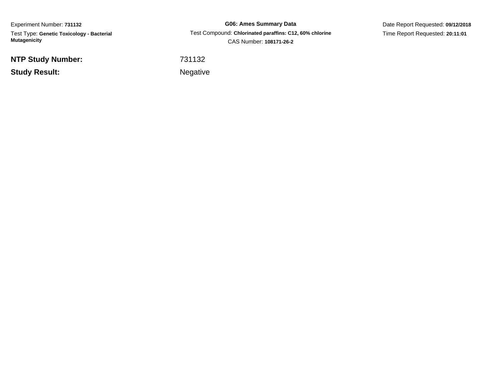Experiment Number: **731132** Test Type: **Genetic Toxicology - Bacterial Mutagenicity**

**NTP Study Number:**

**Study Result:**

**G06: Ames Summary Data** Test Compound: **Chlorinated paraffins: C12, 60% chlorine**CAS Number: **108171-26-2**

Date Report Requested: **09/12/2018**Time Report Requested: **20:11:01**

<sup>731132</sup>

Negative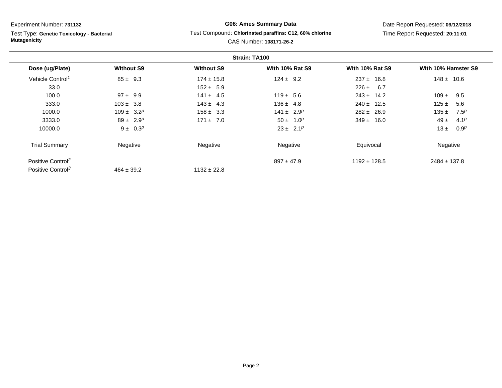Test Type: **Genetic Toxicology - Bacterial Mutagenicity**

# **G06: Ames Summary Data**Test Compound: **Chlorinated paraffins: C12, 60% chlorine**

Date Report Requested: **09/12/2018**Time Report Requested: **20:11:01**

|                               |                   |                   | Strain: TA100          |                        |                               |
|-------------------------------|-------------------|-------------------|------------------------|------------------------|-------------------------------|
| Dose (ug/Plate)               | <b>Without S9</b> | <b>Without S9</b> | <b>With 10% Rat S9</b> | <b>With 10% Rat S9</b> | With 10% Hamster S9           |
| Vehicle Control <sup>1</sup>  | $85 \pm 9.3$      | $174 \pm 15.8$    | $124 \pm 9.2$          | $237 \pm 16.8$         | $148 \pm 10.6$                |
| 33.0                          |                   | $152 \pm 5.9$     |                        | $226 \pm 6.7$          |                               |
| 100.0                         | $97 \pm 9.9$      | $141 \pm 4.5$     | $119 \pm 5.6$          | $243 \pm 14.2$         | $109 \pm$<br>9.5              |
| 333.0                         | $103 \pm 3.8$     | $143 \pm 4.3$     | $136 \pm 4.8$          | $240 \pm 12.5$         | $125 \pm$<br>5.6              |
| 1000.0                        | $109 \pm 3.2^p$   | $158 \pm 3.3$     | $141 \pm 2.9^p$        | $282 \pm 26.9$         | 7.5 <sup>p</sup><br>135 $\pm$ |
| 3333.0                        | $89 \pm 2.9^p$    | $171 \pm 7.0$     | $50 \pm 1.0^p$         | $349 \pm 16.0$         | $49 \pm$<br>4.1 <sup>p</sup>  |
| 10000.0                       | $9 \pm 0.3^p$     |                   | $23 \pm 2.1^p$         |                        | $13 \pm$<br>0.9 <sup>p</sup>  |
| <b>Trial Summary</b>          | Negative          | Negative          | Negative               | Equivocal              | Negative                      |
| Positive Control <sup>2</sup> |                   |                   | $897 \pm 47.9$         | $1192 \pm 128.5$       | $2484 \pm 137.8$              |
| Positive Control <sup>3</sup> | $464 \pm 39.2$    | $1132 \pm 22.8$   |                        |                        |                               |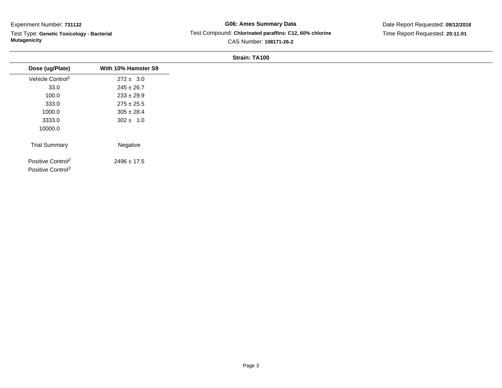Test Type: **Genetic Toxicology - Bacterial Mutagenicity**

# **G06: Ames Summary Data** Test Compound: **Chlorinated paraffins: C12, 60% chlorine**CAS Number: **108171-26-2**

Date Report Requested: **09/12/2018**Time Report Requested: **20:11:01**

| Dose (ug/Plate)                                                | With 10% Hamster S9 |
|----------------------------------------------------------------|---------------------|
| Vehicle Control <sup>1</sup>                                   | $272 \pm 3.0$       |
| 33.0                                                           | $245 \pm 26.7$      |
| 100.0                                                          | $233 \pm 29.9$      |
| 333.0                                                          | $275 \pm 25.5$      |
| 1000.0                                                         | $305 \pm 28.4$      |
| 3333.0                                                         | $302 \pm 1.0$       |
| 10000.0                                                        |                     |
| <b>Trial Summary</b>                                           | Negative            |
| Positive Control <sup>2</sup><br>Positive Control <sup>3</sup> | $2496 \pm 17.5$     |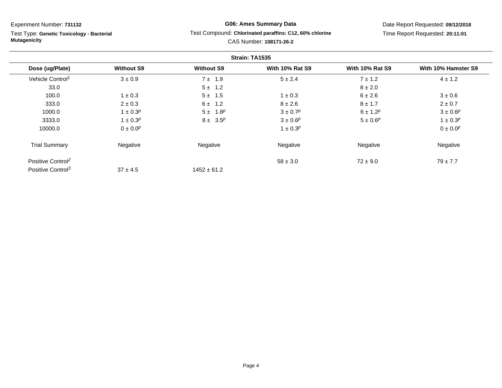÷.

Test Type: **Genetic Toxicology - Bacterial Mutagenicity**

# **G06: Ames Summary Data**Test Compound: **Chlorinated paraffins: C12, 60% chlorine**

Date Report Requested: **09/12/2018**Time Report Requested: **20:11:01**

|                               |                   |                   | Strain: TA1535         |                        |                     |
|-------------------------------|-------------------|-------------------|------------------------|------------------------|---------------------|
| Dose (ug/Plate)               | <b>Without S9</b> | <b>Without S9</b> | <b>With 10% Rat S9</b> | <b>With 10% Rat S9</b> | With 10% Hamster S9 |
| Vehicle Control <sup>1</sup>  | $3 \pm 0.9$       | $7 \pm 1.9$       | $5 \pm 2.4$            | $7 \pm 1.2$            | $4 \pm 1.2$         |
| 33.0                          |                   | $5 \pm 1.2$       |                        | $8 \pm 2.0$            |                     |
| 100.0                         | $1 \pm 0.3$       | $5 \pm 1.5$       | $1 \pm 0.3$            | $6 \pm 2.6$            | $3 \pm 0.6$         |
| 333.0                         | $2 \pm 0.3$       | $6 \pm 1.2$       | $8 \pm 2.6$            | $8 \pm 1.7$            | $2 \pm 0.7$         |
| 1000.0                        | $1 \pm 0.3^p$     | $5 \pm 1.8^{p}$   | $3 \pm 0.7^p$          | $6 \pm 1.2^p$          | $3 \pm 0.6^p$       |
| 3333.0                        | $1 \pm 0.3^p$     | $8 \pm 3.5^p$     | $3 \pm 0.6^p$          | $5 \pm 0.6^{p}$        | $1 \pm 0.3^p$       |
| 10000.0                       | $0 \pm 0.0^p$     |                   | $1 \pm 0.3^p$          |                        | $0 \pm 0.0^p$       |
| <b>Trial Summary</b>          | Negative          | Negative          | Negative               | Negative               | Negative            |
| Positive Control <sup>2</sup> |                   |                   | $58 \pm 3.0$           | $72 \pm 9.0$           | $79 \pm 7.7$        |
| Positive Control <sup>3</sup> | $37 \pm 4.5$      | $1452 \pm 61.2$   |                        |                        |                     |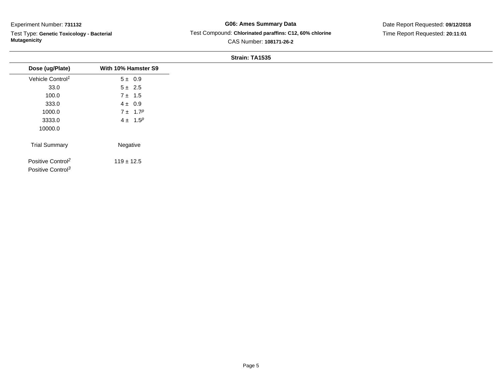Test Type: **Genetic Toxicology - Bacterial Mutagenicity**

**G06: Ames Summary Data** Test Compound: **Chlorinated paraffins: C12, 60% chlorine**CAS Number: **108171-26-2**

Date Report Requested: **09/12/2018**Time Report Requested: **20:11:01**

| Dose (ug/Plate)                                                | With 10% Hamster S9 |
|----------------------------------------------------------------|---------------------|
| Vehicle Control <sup>1</sup>                                   | $5 \pm 0.9$         |
| 33.0                                                           | $5 \pm 2.5$         |
| 100.0                                                          | $7 \pm 1.5$         |
| 333.0                                                          | $4 \pm 0.9$         |
| 1000.0                                                         | $7 \pm 1.7^p$       |
| 3333.0                                                         | $4 \pm 1.5^p$       |
| 10000.0                                                        |                     |
| <b>Trial Summary</b>                                           | Negative            |
| Positive Control <sup>2</sup><br>Positive Control <sup>3</sup> | $119 \pm 12.5$      |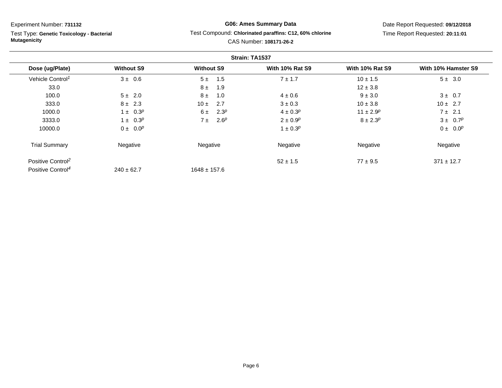Test Type: **Genetic Toxicology - Bacterial Mutagenicity**

# **G06: Ames Summary Data**Test Compound: **Chlorinated paraffins: C12, 60% chlorine**

Date Report Requested: **09/12/2018**Time Report Requested: **20:11:01**

|                               |                   |                             | Strain: TA1537         |                        |                     |
|-------------------------------|-------------------|-----------------------------|------------------------|------------------------|---------------------|
| Dose (ug/Plate)               | <b>Without S9</b> | <b>Without S9</b>           | <b>With 10% Rat S9</b> | <b>With 10% Rat S9</b> | With 10% Hamster S9 |
| Vehicle Control <sup>1</sup>  | $3 \pm 0.6$       | 1.5<br>5±                   | $7 \pm 1.7$            | $10 \pm 1.5$           | $5 \pm 3.0$         |
| 33.0                          |                   | $8 \pm$<br>1.9              |                        | $12 \pm 3.8$           |                     |
| 100.0                         | $5 \pm 2.0$       | $8 \pm$<br>1.0              | $4 \pm 0.6$            | $9 \pm 3.0$            | $3 \pm 0.7$         |
| 333.0                         | $8 \pm 2.3$       | 2.7<br>$10 \pm$             | $3 \pm 0.3$            | $10 \pm 3.8$           | $10 \pm 2.7$        |
| 1000.0                        | $1 \pm 0.3^p$     | 2.3 <sup>p</sup><br>6 ±     | $4 \pm 0.3^{p}$        | $11 \pm 2.9^p$         | $7 \pm 2.1$         |
| 3333.0                        | $1 \pm 0.3^{p}$   | 2.6 <sup>p</sup><br>$7 \pm$ | $2 \pm 0.9^p$          | $8 \pm 2.3^{p}$        | $3 \pm 0.7^p$       |
| 10000.0                       | $0 \pm 0.0^p$     |                             | $1 \pm 0.3^{p}$        |                        | $0 \pm 0.0^p$       |
| <b>Trial Summary</b>          | Negative          | Negative                    | Negative               | Negative               | Negative            |
| Positive Control <sup>2</sup> |                   |                             | $52 \pm 1.5$           | $77 \pm 9.5$           | $371 \pm 12.7$      |
| Positive Control <sup>4</sup> | $240 \pm 62.7$    | $1648 \pm 157.6$            |                        |                        |                     |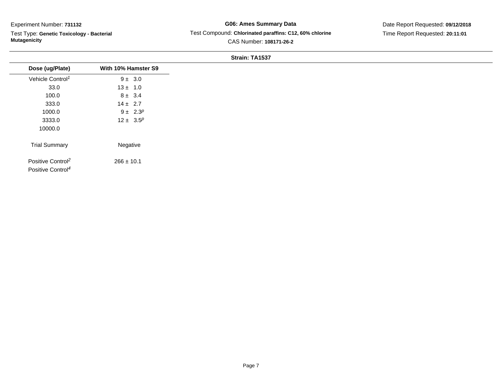Test Type: **Genetic Toxicology - Bacterial Mutagenicity**

**G06: Ames Summary Data** Test Compound: **Chlorinated paraffins: C12, 60% chlorine**CAS Number: **108171-26-2**

Date Report Requested: **09/12/2018**Time Report Requested: **20:11:01**

| Dose (ug/Plate)                                                | With 10% Hamster S9 |
|----------------------------------------------------------------|---------------------|
| Vehicle Control <sup>1</sup>                                   | $9 \pm 3.0$         |
| 33.0                                                           | $13 \pm 1.0$        |
| 100.0                                                          | $8 \pm 3.4$         |
| 333.0                                                          | $14 \pm 2.7$        |
| 1000.0                                                         | $9 \pm 2.3^p$       |
| 3333.0                                                         | $12 \pm 3.5^p$      |
| 10000.0                                                        |                     |
| <b>Trial Summary</b>                                           | Negative            |
| Positive Control <sup>2</sup><br>Positive Control <sup>4</sup> | $266 \pm 10.1$      |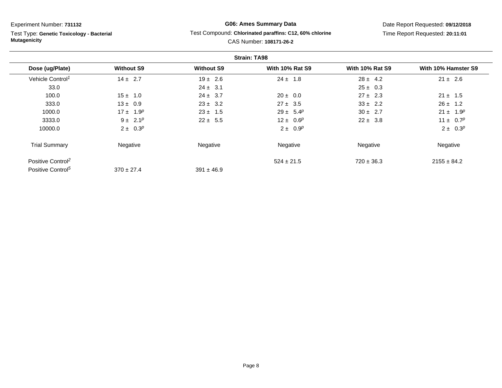Test Type: **Genetic Toxicology - Bacterial Mutagenicity**

# **G06: Ames Summary Data**Test Compound: **Chlorinated paraffins: C12, 60% chlorine**

Date Report Requested: **09/12/2018**Time Report Requested: **20:11:01**

|                               |                   |                   | <b>Strain: TA98</b>    |                        |                     |
|-------------------------------|-------------------|-------------------|------------------------|------------------------|---------------------|
| Dose (ug/Plate)               | <b>Without S9</b> | <b>Without S9</b> | <b>With 10% Rat S9</b> | <b>With 10% Rat S9</b> | With 10% Hamster S9 |
| Vehicle Control <sup>1</sup>  | $14 \pm 2.7$      | $19 \pm 2.6$      | $24 \pm 1.8$           | $28 \pm 4.2$           | $21 \pm 2.6$        |
| 33.0                          |                   | $24 \pm 3.1$      |                        | $25 \pm 0.3$           |                     |
| 100.0                         | $15 \pm 1.0$      | $24 \pm 3.7$      | $20 \pm 0.0$           | $27 \pm 2.3$           | $21 \pm 1.5$        |
| 333.0                         | $13 \pm 0.9$      | $23 \pm 3.2$      | $27 \pm 3.5$           | $33 \pm 2.2$           | $26 \pm 1.2$        |
| 1000.0                        | $17 \pm 1.9^p$    | $23 \pm 1.5$      | $29 \pm 5.4^p$         | $30 \pm 2.7$           | $21 \pm 1.9^p$      |
| 3333.0                        | $9 \pm 2.1^p$     | $22 \pm 5.5$      | $12 \pm 0.6^p$         | $22 \pm 3.8$           | $11 \pm 0.7^p$      |
| 10000.0                       | $2 \pm 0.3^p$     |                   | $2 \pm 0.9^p$          |                        | $2 \pm 0.3^p$       |
| <b>Trial Summary</b>          | Negative          | Negative          | Negative               | Negative               | Negative            |
| Positive Control <sup>2</sup> |                   |                   | $524 \pm 21.5$         | $720 \pm 36.3$         | $2155 \pm 84.2$     |
| Positive Control <sup>5</sup> | $370 \pm 27.4$    | $391 \pm 46.9$    |                        |                        |                     |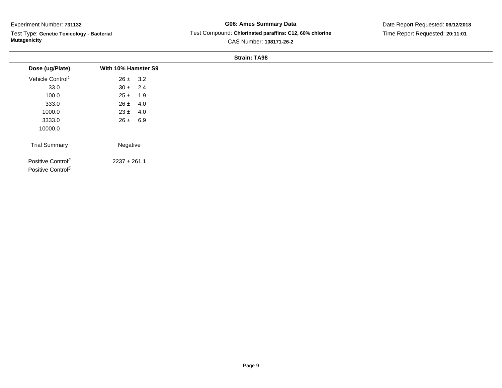$\overline{\phantom{0}}$ 

Test Type: **Genetic Toxicology - Bacterial Mutagenicity**

**G06: Ames Summary Data** Test Compound: **Chlorinated paraffins: C12, 60% chlorine**CAS Number: **108171-26-2**

Date Report Requested: **09/12/2018**Time Report Requested: **20:11:01**

| Dose (ug/Plate)<br>Vehicle Control <sup>1</sup><br>$26 \pm 3.2$<br>33.0<br>$30 \pm 2.4$<br>100.0<br>$25 \pm 1.9$<br>333.0<br>4.0<br>$26 \pm$<br>$23 \pm 4.0$<br>1000.0<br>$26 \pm 6.9$<br>3333.0<br>10000.0<br><b>Trial Summary</b><br>Negative<br>Positive Control <sup>2</sup><br>$2237 \pm 261.1$ |                               |                     |
|------------------------------------------------------------------------------------------------------------------------------------------------------------------------------------------------------------------------------------------------------------------------------------------------------|-------------------------------|---------------------|
|                                                                                                                                                                                                                                                                                                      |                               | With 10% Hamster S9 |
|                                                                                                                                                                                                                                                                                                      |                               |                     |
|                                                                                                                                                                                                                                                                                                      |                               |                     |
|                                                                                                                                                                                                                                                                                                      |                               |                     |
|                                                                                                                                                                                                                                                                                                      |                               |                     |
|                                                                                                                                                                                                                                                                                                      |                               |                     |
|                                                                                                                                                                                                                                                                                                      |                               |                     |
|                                                                                                                                                                                                                                                                                                      |                               |                     |
|                                                                                                                                                                                                                                                                                                      |                               |                     |
|                                                                                                                                                                                                                                                                                                      | Positive Control <sup>5</sup> |                     |